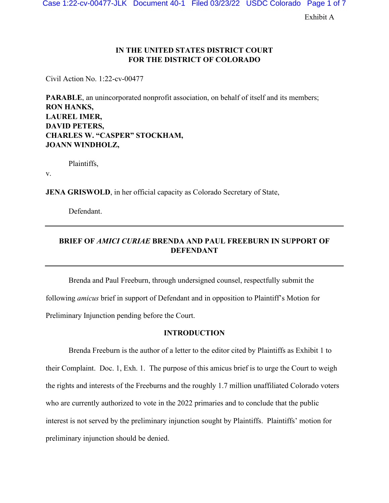Case 1:22-cv-00477-JLK Document 40-1 Filed 03/23/22 USDC Colorado Page 1 of 7

Exhibit A

# **IN THE UNITED STATES DISTRICT COURT FOR THE DISTRICT OF COLORADO**

Civil Action No. 1:22-cv-00477

**PARABLE**, an unincorporated nonprofit association, on behalf of itself and its members; **RON HANKS, LAUREL IMER, DAVID PETERS, CHARLES W. "CASPER" STOCKHAM, JOANN WINDHOLZ,**

Plaintiffs,

v.

**JENA GRISWOLD**, in her official capacity as Colorado Secretary of State,

Defendant.

# **BRIEF OF** *AMICI CURIAE* **BRENDA AND PAUL FREEBURN IN SUPPORT OF DEFENDANT**

Brenda and Paul Freeburn, through undersigned counsel, respectfully submit the following *amicus* brief in support of Defendant and in opposition to Plaintiff's Motion for Preliminary Injunction pending before the Court.

### **INTRODUCTION**

Brenda Freeburn is the author of a letter to the editor cited by Plaintiffs as Exhibit 1 to their Complaint. Doc. 1, Exh. 1. The purpose of this amicus brief is to urge the Court to weigh the rights and interests of the Freeburns and the roughly 1.7 million unaffiliated Colorado voters who are currently authorized to vote in the 2022 primaries and to conclude that the public interest is not served by the preliminary injunction sought by Plaintiffs. Plaintiffs' motion for preliminary injunction should be denied.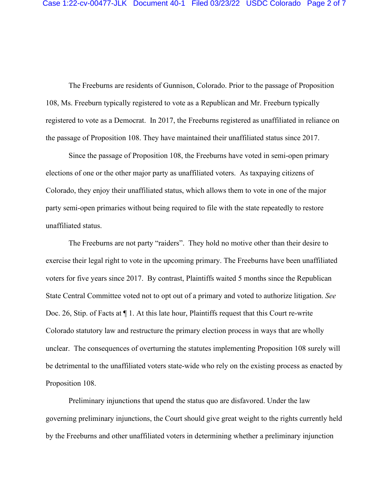The Freeburns are residents of Gunnison, Colorado. Prior to the passage of Proposition 108, Ms. Freeburn typically registered to vote as a Republican and Mr. Freeburn typically registered to vote as a Democrat. In 2017, the Freeburns registered as unaffiliated in reliance on the passage of Proposition 108. They have maintained their unaffiliated status since 2017.

Since the passage of Proposition 108, the Freeburns have voted in semi-open primary elections of one or the other major party as unaffiliated voters. As taxpaying citizens of Colorado, they enjoy their unaffiliated status, which allows them to vote in one of the major party semi-open primaries without being required to file with the state repeatedly to restore unaffiliated status.

The Freeburns are not party "raiders". They hold no motive other than their desire to exercise their legal right to vote in the upcoming primary. The Freeburns have been unaffiliated voters for five years since 2017. By contrast, Plaintiffs waited 5 months since the Republican State Central Committee voted not to opt out of a primary and voted to authorize litigation. *See*  Doc. 26, Stip. of Facts at ¶ 1. At this late hour, Plaintiffs request that this Court re-write Colorado statutory law and restructure the primary election process in ways that are wholly unclear. The consequences of overturning the statutes implementing Proposition 108 surely will be detrimental to the unaffiliated voters state-wide who rely on the existing process as enacted by Proposition 108.

Preliminary injunctions that upend the status quo are disfavored. Under the law governing preliminary injunctions, the Court should give great weight to the rights currently held by the Freeburns and other unaffiliated voters in determining whether a preliminary injunction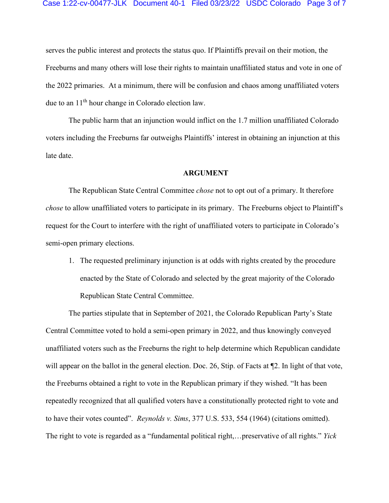serves the public interest and protects the status quo. If Plaintiffs prevail on their motion, the Freeburns and many others will lose their rights to maintain unaffiliated status and vote in one of the 2022 primaries. At a minimum, there will be confusion and chaos among unaffiliated voters due to an 11th hour change in Colorado election law.

The public harm that an injunction would inflict on the 1.7 million unaffiliated Colorado voters including the Freeburns far outweighs Plaintiffs' interest in obtaining an injunction at this late date.

#### **ARGUMENT**

The Republican State Central Committee *chose* not to opt out of a primary. It therefore *chose* to allow unaffiliated voters to participate in its primary. The Freeburns object to Plaintiff's request for the Court to interfere with the right of unaffiliated voters to participate in Colorado's semi-open primary elections.

1. The requested preliminary injunction is at odds with rights created by the procedure enacted by the State of Colorado and selected by the great majority of the Colorado Republican State Central Committee.

The parties stipulate that in September of 2021, the Colorado Republican Party's State Central Committee voted to hold a semi-open primary in 2022, and thus knowingly conveyed unaffiliated voters such as the Freeburns the right to help determine which Republican candidate will appear on the ballot in the general election. Doc. 26, Stip. of Facts at  $\mathbb{Z}$ . In light of that vote, the Freeburns obtained a right to vote in the Republican primary if they wished. "It has been repeatedly recognized that all qualified voters have a constitutionally protected right to vote and to have their votes counted". *Reynolds v. Sims*, 377 U.S. 533, 554 (1964) (citations omitted). The right to vote is regarded as a "fundamental political right,…preservative of all rights." *Yick*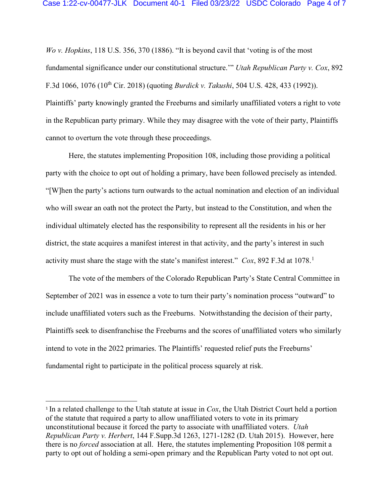*Wo v. Hopkins*, 118 U.S. 356, 370 (1886). "It is beyond cavil that 'voting is of the most fundamental significance under our constitutional structure.'" *Utah Republican Party v. Cox*, 892 F.3d 1066, 1076 (10th Cir. 2018) (quoting *Burdick v. Takushi*, 504 U.S. 428, 433 (1992)). Plaintiffs' party knowingly granted the Freeburns and similarly unaffiliated voters a right to vote in the Republican party primary. While they may disagree with the vote of their party, Plaintiffs cannot to overturn the vote through these proceedings.

Here, the statutes implementing Proposition 108, including those providing a political party with the choice to opt out of holding a primary, have been followed precisely as intended. "[W]hen the party's actions turn outwards to the actual nomination and election of an individual who will swear an oath not the protect the Party, but instead to the Constitution, and when the individual ultimately elected has the responsibility to represent all the residents in his or her district, the state acquires a manifest interest in that activity, and the party's interest in such activity must share the stage with the state's manifest interest." *Cox*, 892 F.3d at [1](#page-3-0)078.<sup>1</sup>

The vote of the members of the Colorado Republican Party's State Central Committee in September of 2021 was in essence a vote to turn their party's nomination process "outward" to include unaffiliated voters such as the Freeburns. Notwithstanding the decision of their party, Plaintiffs seek to disenfranchise the Freeburns and the scores of unaffiliated voters who similarly intend to vote in the 2022 primaries. The Plaintiffs' requested relief puts the Freeburns' fundamental right to participate in the political process squarely at risk.

<span id="page-3-0"></span><sup>1</sup> In a related challenge to the Utah statute at issue in *Cox*, the Utah District Court held a portion of the statute that required a party to allow unaffiliated voters to vote in its primary unconstitutional because it forced the party to associate with unaffiliated voters. *Utah Republican Party v. Herbert*, 144 F.Supp.3d 1263, 1271-1282 (D. Utah 2015). However, here there is no *forced* association at all. Here, the statutes implementing Proposition 108 permit a party to opt out of holding a semi-open primary and the Republican Party voted to not opt out.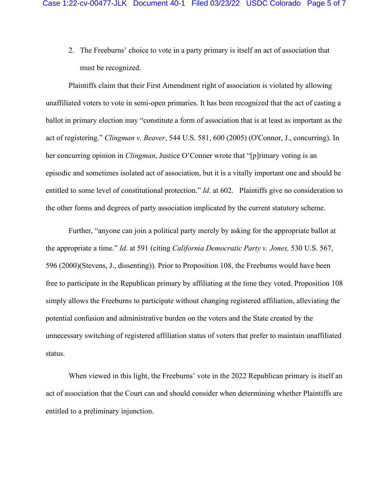2. The Freeburns' choice to vote in a party primary is itself an act of association that must be recognized.

Plaintiffs claim that their First Amendment right of association is violated by allowing unaffiliated voters to vote in semi-open primaries. It has been recognized that the act of casting a ballot in primary election may "constitute a form of association that is at least as important as the act of registering." *Clingman v. Beaver*, 544 U.S. 581, 600 (2005) (O'Connor, J., concurring). In her concurring opinion in *Clingman*, Justice O'Conner wrote that "[p]rimary voting is an episodic and sometimes isolated act of association, but it is a vitally important one and should be entitled to some level of constitutional protection." *Id*. at 602. Plaintiffs give no consideration to the other forms and degrees of party association implicated by the current statutory scheme.

Further, "anyone can join a political party merely by asking for the appropriate ballot at the appropriate a time." *Id*. at 591 (citing *California Democratic Party v. Jones,* 530 U.S. 567, 596 (2000)(Stevens, J., dissenting)). Prior to Proposition 108, the Freeburns would have been free to participate in the Republican primary by affiliating at the time they voted. Proposition 108 simply allows the Freeburns to participate without changing registered affiliation, alleviating the potential confusion and administrative burden on the voters and the State created by the unnecessary switching of registered affiliation status of voters that prefer to maintain unaffiliated status.

When viewed in this light, the Freeburns' vote in the 2022 Republican primary is itself an act of association that the Court can and should consider when determining whether Plaintiffs are entitled to a preliminary injunction.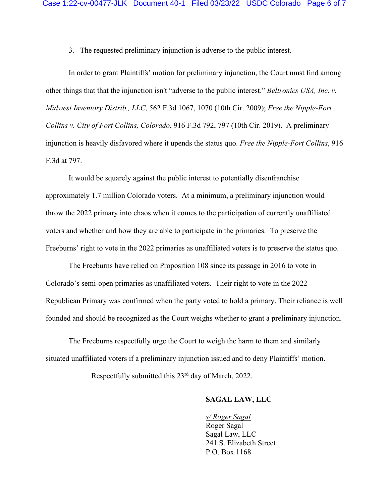3. The requested preliminary injunction is adverse to the public interest.

In order to grant Plaintiffs' motion for preliminary injunction, the Court must find among other things that that the injunction isn't "adverse to the public interest." *Beltronics USA, Inc. v. Midwest Inventory Distrib., LLC*, 562 F.3d 1067, 1070 (10th Cir. 2009); *Free the Nipple-Fort Collins v. City of Fort Collins, Colorado*, 916 F.3d 792, 797 (10th Cir. 2019). A preliminary injunction is heavily disfavored where it upends the status quo. *Free the Nipple-Fort Collins*, 916 F.3d at 797.

It would be squarely against the public interest to potentially disenfranchise approximately 1.7 million Colorado voters. At a minimum, a preliminary injunction would throw the 2022 primary into chaos when it comes to the participation of currently unaffiliated voters and whether and how they are able to participate in the primaries. To preserve the Freeburns' right to vote in the 2022 primaries as unaffiliated voters is to preserve the status quo.

The Freeburns have relied on Proposition 108 since its passage in 2016 to vote in Colorado's semi-open primaries as unaffiliated voters. Their right to vote in the 2022 Republican Primary was confirmed when the party voted to hold a primary. Their reliance is well founded and should be recognized as the Court weighs whether to grant a preliminary injunction.

The Freeburns respectfully urge the Court to weigh the harm to them and similarly situated unaffiliated voters if a preliminary injunction issued and to deny Plaintiffs' motion.

Respectfully submitted this 23rd day of March, 2022.

# **SAGAL LAW, LLC**

*s/ Roger Sagal*  Roger Sagal Sagal Law, LLC 241 S. Elizabeth Street P.O. Box 1168